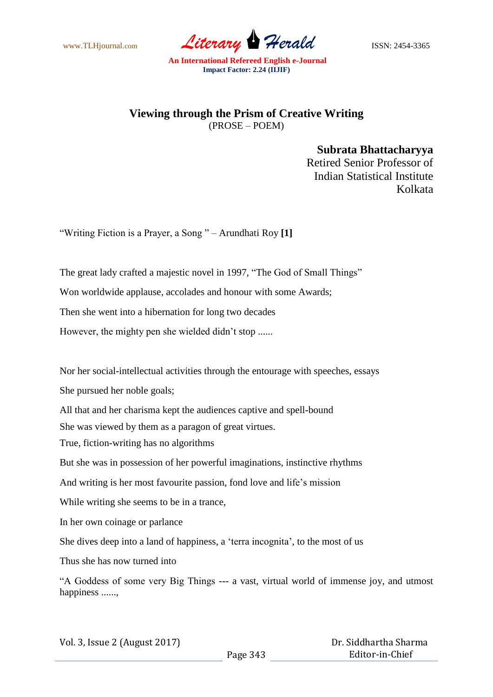www.TLHjournal.com *Literary Herald*ISSN: 2454-3365

**An International Refereed English e-Journal Impact Factor: 2.24 (IIJIF)**

## **Viewing through the Prism of Creative Writing** (PROSE – POEM)

**Subrata Bhattacharyya** Retired Senior Professor of Indian Statistical Institute Kolkata

"Writing Fiction is a Prayer, a Song " – Arundhati Roy **[1]**

The great lady crafted a majestic novel in 1997, "The God of Small Things"

Won worldwide applause, accolades and honour with some Awards;

Then she went into a hibernation for long two decades

However, the mighty pen she wielded didn't stop ......

Nor her social-intellectual activities through the entourage with speeches, essays

She pursued her noble goals;

All that and her charisma kept the audiences captive and spell-bound

She was viewed by them as a paragon of great virtues.

True, fiction-writing has no algorithms

But she was in possession of her powerful imaginations, instinctive rhythms

And writing is her most favourite passion, fond love and life's mission

While writing she seems to be in a trance,

In her own coinage or parlance

She dives deep into a land of happiness, a "terra incognita", to the most of us

Thus she has now turned into

"A Goddess of some very Big Things --- a vast, virtual world of immense joy, and utmost happiness ......,

| Vol. 3, Issue 2 (August 2017) |          | Dr. Siddhartha Sharma |
|-------------------------------|----------|-----------------------|
|                               | Page 343 | Editor-in-Chief       |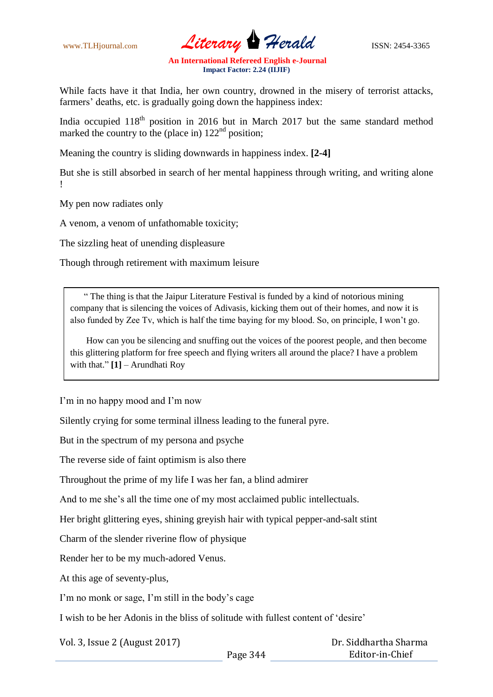www.TLHjournal.com *Literary Herald* ISSN: 2454-3365

**An International Refereed English e-Journal Impact Factor: 2.24 (IIJIF)**

While facts have it that India, her own country, drowned in the misery of terrorist attacks, farmers' deaths, etc. is gradually going down the happiness index:

India occupied  $118<sup>th</sup>$  position in 2016 but in March 2017 but the same standard method marked the country to the (place in)  $122<sup>nd</sup>$  position;

Meaning the country is sliding downwards in happiness index. **[2-4]**

But she is still absorbed in search of her mental happiness through writing, and writing alone !

My pen now radiates only

A venom, a venom of unfathomable toxicity;

The sizzling heat of unending displeasure

Though through retirement with maximum leisure

 " The thing is that the Jaipur Literature Festival is funded by a kind of notorious mining company that is silencing the voices of Adivasis, kicking them out of their homes, and now it is also funded by Zee Tv, which is half the time baying for my blood. So, on principle, I won"t go.

 How can you be silencing and snuffing out the voices of the poorest people, and then become this glittering platform for free speech and flying writers all around the place? I have a problem with that." **[1]** – Arundhati Roy

I'm in no happy mood and I'm now

Silently crying for some terminal illness leading to the funeral pyre.

But in the spectrum of my persona and psyche

The reverse side of faint optimism is also there

Throughout the prime of my life I was her fan, a blind admirer

And to me she"s all the time one of my most acclaimed public intellectuals.

Her bright glittering eyes, shining greyish hair with typical pepper-and-salt stint

Charm of the slender riverine flow of physique

Render her to be my much-adored Venus.

At this age of seventy-plus,

I'm no monk or sage, I'm still in the body's cage

I wish to be her Adonis in the bliss of solitude with fullest content of "desire"

Vol. 3, Issue 2 (August 2017)

 Dr. Siddhartha Sharma Editor-in-Chief